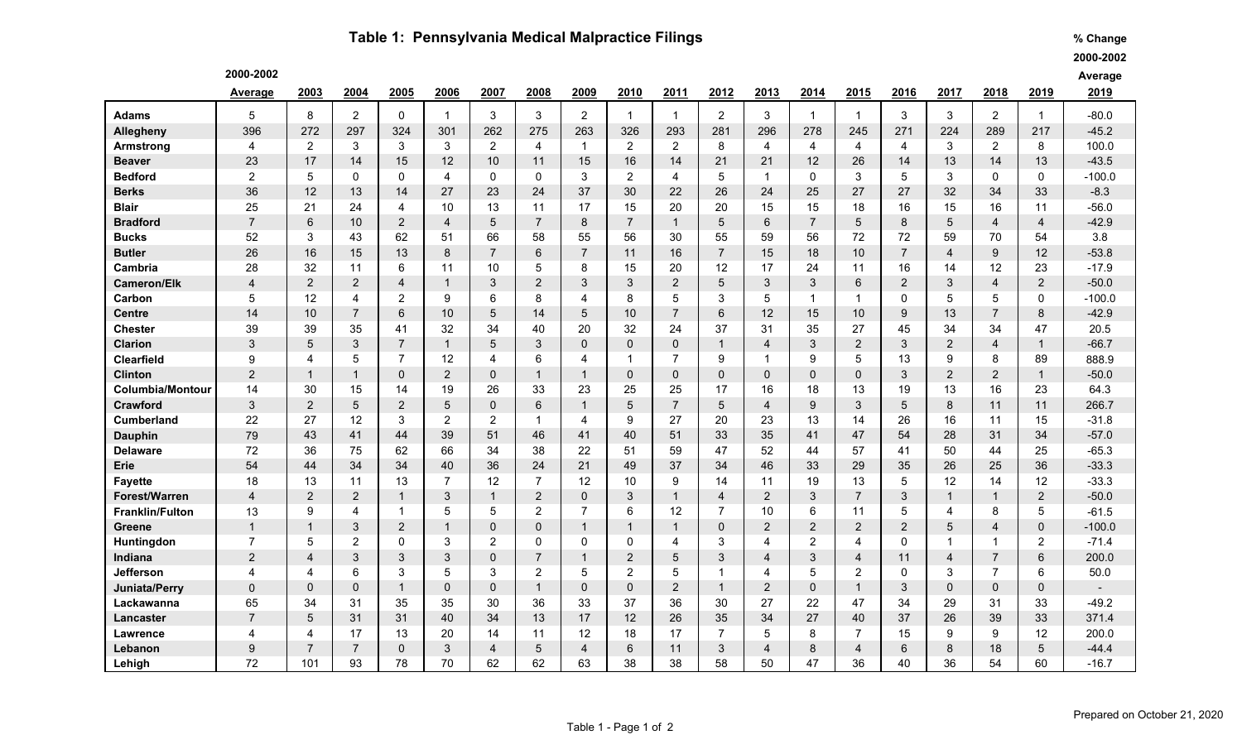## **Table 1: Pennsylvania Medical Malpractice Filings**

**2000-2002**

**% Change**

**2000-2002**

|  | Average |
|--|---------|
|--|---------|

|                         | Average        | 2003             | 2004           | 2005           | 2006           | 2007            | 2008           | 2009                    | 2010           | 2011           | 2012            | 2013           | 2014           | 2015           | 2016           | 2017           | 2018           | 2019           | 2019               |
|-------------------------|----------------|------------------|----------------|----------------|----------------|-----------------|----------------|-------------------------|----------------|----------------|-----------------|----------------|----------------|----------------|----------------|----------------|----------------|----------------|--------------------|
| <b>Adams</b>            | 5              | 8                | $\overline{2}$ | $\mathbf{0}$   | $\overline{1}$ | 3               | 3              | $\overline{2}$          | $\mathbf 1$    | $\overline{1}$ | $\overline{2}$  | 3              | $\mathbf{1}$   | $\mathbf{1}$   | 3              | 3              | $\overline{2}$ | $\overline{1}$ | $-80.0$            |
| Allegheny               | 396            | 272              | 297            | 324            | 301            | 262             | 275            | 263                     | 326            | 293            | 281             | 296            | 278            | 245            | 271            | 224            | 289            | 217            | $-45.2$            |
| Armstrong               | $\overline{4}$ | $\overline{2}$   | 3              | 3              | 3              | $\overline{2}$  | $\overline{4}$ | $\overline{\mathbf{1}}$ | 2              | $\overline{2}$ | 8               | 4              | 4              | $\overline{4}$ | 4              | 3              | 2              | 8              | 100.0              |
| <b>Beaver</b>           | 23             | 17               | 14             | 15             | 12             | 10              | 11             | 15                      | 16             | 14             | 21              | 21             | 12             | 26             | 14             | 13             | 14             | 13             | $-43.5$            |
| <b>Bedford</b>          | $\overline{2}$ | 5                | $\mathbf 0$    | $\mathbf{0}$   | 4              | $\mathbf{0}$    | $\mathbf{0}$   | 3                       | 2              | 4              | 5               | $\mathbf 1$    | $\Omega$       | 3              | 5              | 3              | $\Omega$       | $\Omega$       | $-100.0$           |
| <b>Berks</b>            | 36             | 12               | 13             | 14             | 27             | 23              | 24             | 37                      | 30             | 22             | 26              | 24             | 25             | 27             | 27             | 32             | 34             | 33             | $-8.3$             |
| <b>Blair</b>            | 25             | 21               | 24             | 4              | 10             | 13              | 11             | 17                      | 15             | 20             | 20              | 15             | 15             | 18             | 16             | 15             | 16             | 11             | $-56.0$            |
| <b>Bradford</b>         | $\overline{7}$ | 6                | 10             | $\overline{2}$ | $\overline{4}$ | $\sqrt{5}$      | $\overline{7}$ | 8                       | $\overline{7}$ | $\mathbf{1}$   | $\overline{5}$  | 6              | $\overline{7}$ | 5              | 8              | 5              | $\overline{4}$ | $\overline{4}$ | $-42.9$            |
| <b>Bucks</b>            | 52             | 3                | 43             | 62             | 51             | 66              | 58             | 55                      | 56             | 30             | 55              | 59             | 56             | 72             | 72             | 59             | 70             | 54             | 3.8                |
| <b>Butler</b>           | 26             | 16               | 15             | 13             | 8              | $\overline{7}$  | 6              | $\overline{7}$          | 11             | 16             | $\overline{7}$  | 15             | 18             | 10             | $\overline{7}$ | $\overline{4}$ | 9              | 12             | $-53.8$            |
| Cambria                 | 28             | 32               | 11             | 6              | 11             | 10              | 5              | 8                       | 15             | 20             | 12              | 17             | 24             | 11             | 16             | 14             | 12             | 23             | $-17.9$            |
| <b>Cameron/Elk</b>      | $\overline{4}$ | 2                | $\overline{2}$ | $\overline{4}$ |                | 3               | 2              | 3                       | 3              | 2              | 5               | 3              | 3              | 6              | $\overline{2}$ | 3              | $\overline{4}$ | 2              | $-50.0$            |
| Carbon                  | 5              | 12               | $\overline{4}$ | $\overline{2}$ | 9              | 6               | 8              | $\boldsymbol{\Lambda}$  | 8              | 5              | 3               | 5              | 1              | -1             | $\Omega$       | 5              | 5              | $\Omega$       | $-100.0$           |
| <b>Centre</b>           | 14             | 10               | $\overline{7}$ | 6              | 10             | $5\phantom{.0}$ | 14             | 5                       | 10             | $\overline{7}$ | $6\phantom{1}6$ | 12             | 15             | 10             | 9              | 13             | $\overline{7}$ | 8              | $-42.9$            |
| <b>Chester</b>          | 39             | 39               | 35             | 41             | 32             | 34              | 40             | 20                      | 32             | 24             | 37              | 31             | 35             | 27             | 45             | 34             | 34             | 47             | 20.5               |
| <b>Clarion</b>          | 3              | 5                | $\mathbf{3}$   | $\overline{7}$ | 1              | $5\phantom{.0}$ | 3              | $\mathbf{0}$            | $\mathbf{0}$   | $\mathbf 0$    | $\mathbf{1}$    | $\overline{4}$ | 3              | $\overline{2}$ | $\mathfrak{S}$ | 2              | $\overline{4}$ | $\mathbf 1$    | $-66.7$            |
| <b>Clearfield</b>       | 9              | 4                | $\sqrt{5}$     | $\overline{7}$ | 12             | 4               | 6              | 4                       | 1              | $\overline{7}$ | 9               | 1              | 9              | 5              | 13             | 9              | 8              | 89             | 888.9              |
| <b>Clinton</b>          | $\overline{2}$ | $\overline{1}$   | $\mathbf{1}$   | $\Omega$       | $\overline{2}$ | $\mathbf 0$     | $\mathbf{1}$   | $\overline{\mathbf{1}}$ | $\mathbf{0}$   | $\mathbf 0$    | $\pmb{0}$       | $\overline{0}$ | $\Omega$       | $\mathbf 0$    | 3              | 2              | $\overline{2}$ | $\mathbf{1}$   | $-50.0$            |
| <b>Columbia/Montour</b> | 14             | 30               | 15             | 14             | 19             | 26              | 33             | 23                      | 25             | 25             | 17              | 16             | 18             | 13             | 19             | 13             | 16             | 23             | 64.3               |
| Crawford                | $\mathbf{3}$   | $\overline{2}$   | $\sqrt{5}$     | $\overline{2}$ | 5              | $\mathbf 0$     | 6              | $\overline{1}$          | 5              | $\overline{7}$ | $\overline{5}$  | $\overline{4}$ | 9              | 3              | 5              | 8              | 11             | 11             | 266.7              |
| <b>Cumberland</b>       | 22             | 27               | 12             | 3              | $\overline{2}$ | $\overline{2}$  | -1             | 4                       | 9              | 27             | 20              | 23             | 13             | 14             | 26             | 16             | 11             | 15             | $-31.8$            |
| <b>Dauphin</b>          | 79             | 43               | 41             | 44             | 39             | 51              | 46             | 41                      | 40             | 51             | 33<br>47        | 35             | 41             | 47<br>57       | 54             | 28             | 31             | 34             | $-57.0$            |
| <b>Delaware</b>         | 72<br>54       | 36<br>44         | 75<br>34       | 62<br>34       | 66<br>40       | 34<br>36        | 38<br>24       | 22<br>21                | 51<br>49       | 59<br>37       |                 | 52<br>46       | 44<br>33       | 29             | 41<br>35       | 50<br>26       | 44<br>25       | 25<br>36       | $-65.3$<br>$-33.3$ |
| Erie<br><b>Fayette</b>  | 18             | 13               | 11             | 13             | $\overline{7}$ | 12              | $\overline{7}$ | 12                      | 10             | 9              | 34<br>14        | 11             | 19             | 13             | 5              | 12             | 14             | 12             | $-33.3$            |
| <b>Forest/Warren</b>    | $\overline{4}$ | 2                | $\overline{2}$ | $\mathbf 1$    | 3              | $\mathbf{1}$    | 2              | $\mathbf 0$             | 3              | $\mathbf{1}$   | $\overline{4}$  | $\overline{2}$ | 3              | $\overline{7}$ | 3              | $\mathbf{1}$   | $\mathbf 1$    | 2              | $-50.0$            |
| <b>Franklin/Fulton</b>  | 13             | 9                | $\overline{4}$ | $\overline{1}$ | 5              | 5               | $\overline{c}$ | $\overline{7}$          | 6              | 12             | $\overline{7}$  | 10             | 6              | 11             | 5              | 4              | 8              | 5              | $-61.5$            |
| <b>Greene</b>           | $\mathbf{1}$   |                  | 3              | $\overline{2}$ |                | $\mathbf 0$     | $\Omega$       | 1                       | $\mathbf{1}$   | $\mathbf{1}$   | $\mathbf{0}$    | $\overline{2}$ | $\overline{2}$ | $\overline{2}$ | $\overline{2}$ | 5              | $\overline{4}$ | $\Omega$       | $-100.0$           |
| Huntingdon              | $\overline{7}$ | 5                | $\overline{2}$ | 0              | 3              | $\overline{2}$  | $\Omega$       | 0                       | 0              | 4              | 3               | 4              | $\overline{2}$ | $\overline{4}$ | $\Omega$       | -1             | 1              | 2              | $-71.4$            |
| Indiana                 | $\overline{2}$ | $\boldsymbol{A}$ | $\mathfrak{S}$ | 3              | 3              | $\mathbf 0$     | $\overline{7}$ | 1                       | $\overline{2}$ | 5              | $\mathbf{3}$    | $\overline{4}$ | 3              | $\overline{4}$ | 11             | $\overline{4}$ | $\overline{7}$ | 6              | 200.0              |
| Jefferson               | $\overline{4}$ | 4                | 6              | 3              | 5              | 3               | $\overline{2}$ | 5                       | 2              | 5              | -1              | 4              | 5              | $\overline{c}$ | $\mathbf 0$    | 3              | $\overline{7}$ | 6              | 50.0               |
| <b>Juniata/Perry</b>    | $\mathbf 0$    | $\Omega$         | $\mathbf 0$    | $\overline{1}$ | $\overline{0}$ | $\pmb{0}$       | $\mathbf{1}$   | $\mathbf 0$             | 0              | $\overline{2}$ | $\overline{1}$  | $\overline{c}$ | $\mathbf{0}$   | $\mathbf{1}$   | 3              | $\mathbf{0}$   | $\mathbf{0}$   | $\Omega$       | $\blacksquare$     |
| Lackawanna              | 65             | 34               | 31             | 35             | 35             | 30              | 36             | 33                      | 37             | 36             | 30              | 27             | 22             | 47             | 34             | 29             | 31             | 33             | $-49.2$            |
| Lancaster               | $\overline{7}$ | 5                | 31             | 31             | 40             | 34              | 13             | 17                      | 12             | 26             | 35              | 34             | 27             | 40             | 37             | 26             | 39             | 33             | 371.4              |
| Lawrence                | $\overline{4}$ | 4                | 17             | 13             | 20             | 14              | 11             | 12                      | 18             | 17             | $\overline{7}$  | 5              | 8              | $\overline{7}$ | 15             | 9              | 9              | 12             | 200.0              |
| Lebanon                 | 9              | $\overline{7}$   | $\overline{7}$ | $\mathbf{0}$   | 3              | $\overline{4}$  | 5              | $\overline{4}$          | 6              | 11             | 3               | 4              | 8              | 4              | 6              | 8              | 18             | 5              | $-44.4$            |
| Lehigh                  | 72             | 101              | 93             | 78             | 70             | 62              | 62             | 63                      | 38             | 38             | 58              | 50             | 47             | 36             | 40             | 36             | 54             | 60             | $-16.7$            |